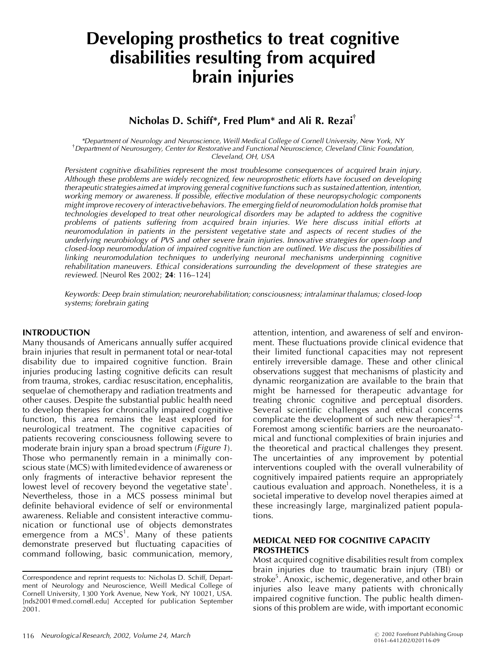# **Developing prosthetics to treat cognitive disabilities resulting from acquired brain injuries**

## **Nicholas D. Schiff\*, Fred Plum\* and Ali R. Rezai**{

*\*Department of Neurology and Neuroscience, Weill Medical College of Cornell University, New York, NY* {*Department of Neurosurgery, Center for Restorative and Functional Neuroscience, Cleveland Clinic Foundation, Cleveland, OH, USA*

*Persistent cognitive disabilities represent the most troublesome consequences of acquired brain injury. Although these problems are widely recognized, few neuroprosthetic efforts have focused on developing therapeutic strategiesaimed at improving general cognitive functions such as sustained attention, intention, working memory or awareness. If possible, effective modulation of these neuropsychologic components might improve recovery of interactivebehaviors. The emerging eld of neuromodulation holds promise that technologies developed to treat other neurological disorders may be adapted to address the cognitive problems of patients suffering from acquired brain injuries. We here discuss initial efforts at neuromodulation in patients in the persistent vegetative state and aspects of recent studies of the underlying neurobiology of PVS and other severe brain injuries. Innovative strategies for open-loop and closed-loop neuromodulation of impaired cognitive function are outlined. We discuss the possibilities of linking neuromodulation techniques to underlying neuronal mechanisms underpinning cognitive rehabilitation maneuvers. Ethical considerations surrounding the development of these strategies are reviewed.* [Neurol Res 2002; **24**: 116–124]

*Keywords: Deep brain stimulation; neurorehabilitation; consciousness; intralaminar thalamus; closed-loop systems; forebrain gating*

#### **INTRODUCTION**

Many thousands of Americans annually suffer acquired brain injuries that result in permanent total or near-total disability due to impaired cognitive function. Brain injuries producing lasting cognitive deficits can result from trauma, strokes, cardiac resuscitation, encephalitis, sequelae of chemotherapy and radiation treatments and other causes. Despite the substantial public health need to develop therapies for chronically impaired cognitive function, this area remains the least explored for neurological treatment. The cognitive capacities of patients recovering consciousness following severe to moderate brain injury span a broad spectrum (*Figure 1*). Those who permanently remain in a minimally conscious state (MCS) with limited evidence of awareness or only fragments of interactive behavior represent the lowest level of recovery beyond the vegetative state<sup>1</sup>. Nevertheless, those in a MCS possess minimal but definite behavioral evidence of self or environmental awareness. Reliable and consistent interactive communication or functional use of objects demonstrates emergence from a MCS<sup>1</sup>. Many of these patients demonstrate preserved but fluctuating capacities of command following, basic communication, memory,

attention, intention, and awareness of self and environment. These fluctuations provide clinical evidence that their limited functional capacities may not represent entirely irreversible damage. These and other clinical observations suggest that mechanisms of plasticity and dynamic reorganization are available to the brain that might be harnessed for therapeutic advantage for treating chronic cognitive and perceptual disorders. Several scientific challenges and ethical concerns complicate the development of such new therapies<sup> $2-4$ </sup>. Foremost among scientific barriers are the neuroanatomical and functional complexities of brain injuries and the theoretical and practical challenges they present. The uncertainties of any improvement by potential interventions coupled with the overall vulnerability of cognitively impaired patients require an appropriately cautious evaluation and approach. Nonetheless, it is a societal imperative to develop novel therapies aimed at these increasingly large, marginalized patient populations.

#### **MEDICAL NEED FOR COGNITIVE CAPACITY PROSTHETICS**

Most acquired cognitive disabilities result from complex brain injuries due to traumatic brain injury (TBI) or stroke<sup>5</sup>. Anoxic, ischemic, degenerative, and other brain injuries also leave many patients with chronically impaired cognitive function. The public health dimensions of this problem are wide, with important economic

Correspondence and reprint requests to: Nicholas D. Schiff, Department of Neurology and Neuroscience, Weill Medical College of Cornell University, 1300 York Avenue, New York, NY 10021, USA. [nds2001@med.cornell.edu] Accepted for publication September 2001.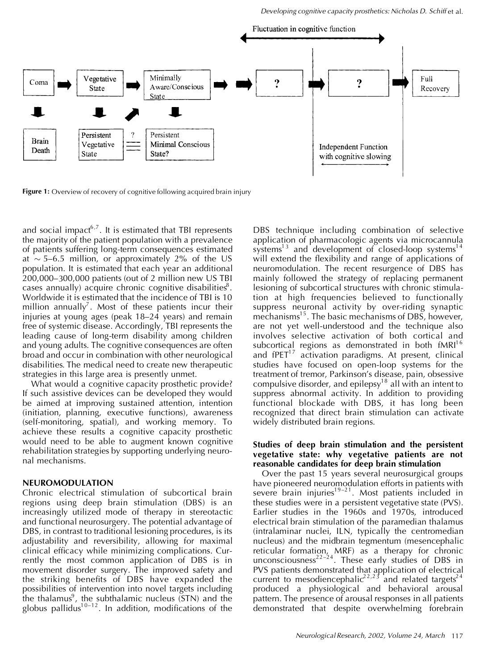

**Figure 1:** Overview of recovery of cognitive following acquired brain injury

and social impact $6,7$ . It is estimated that TBI represents the majority of the patient population with a prevalence of patients suffering long-term consequences estimated at  $\sim$  5–6.5 million, or approximately 2% of the US population. It is estimated that each year an additional 200,000–300,000 patients (out of 2 million new US TBI cases annually) acquire chronic cognitive disabilities $^8$ . Worldwide it is estimated that the incidence of TBI is 10 million annually<sup>7</sup>. Most of these patients incur their injuries at young ages (peak 18–24 years) and remain free of systemic disease. Accordingly, TBI represents the leading cause of long-term disability among children and young adults. The cognitive consequences are often broad and occur in combination with other neurological disabilities. The medical need to create new therapeutic strategies in this large area is presently unmet.

What would a cognitive capacity prosthetic provide? If such assistive devices can be developed they would be aimed at improving sustained attention, intention (initiation, planning, executive functions), awareness (self-monitoring, spatial), and working memory. To achieve these results a cognitive capacity prosthetic would need to be able to augment known cognitive rehabilitation strategies by supporting underlying neuronal mechanisms.

#### **NEUROMODULATION**

Chronic electrical stimulation of subcortical brain regions using deep brain stimulation (DBS) is an increasingly utilized mode of therapy in stereotactic and functional neurosurgery. The potential advantage of DBS, in contrast to traditional lesioning procedures, is its adjustability and reversibility, allowing for maximal clinical efficacy while minimizing complications. Currently the most common application of DBS is in movement disorder surgery. The improved safety and the striking benefits of DBS have expanded the possibilities of intervention into novel targets including the thalamus<sup>9</sup>, the subthalamic nucleus  $(STN)$  and the globus pallidus<sup>10–12</sup>. In addition, modifications of the DBS technique including combination of selective application of pharmacologic agents via microcannula systems<sup>13</sup> and development of closed-loop systems<sup>14</sup> will extend the flexibility and range of applications of neuromodulation. The recent resurgence of DBS has mainly followed the strategy of replacing permanent lesioning of subcortical structures with chronic stimulation at high frequencies believed to functionally suppress neuronal activity by over-riding synaptic mechanisms<sup>15</sup>. The basic mechanisms of DBS, however, are not yet well-understood and the technique also involves selective activation of both cortical and subcortical regions as demonstrated in both  $fMRI<sup>16</sup>$ and  $f$ PET $^{17}$  activation paradigms. At present, clinical studies have focused on open-loop systems for the treatment of tremor, Parkinson's disease, pain, obsessive compulsive disorder, and epilepsy<sup>18</sup> all with an intent to suppress abnormal activity. In addition to providing functional blockade with DBS, it has long been recognized that direct brain stimulation can activate widely distributed brain regions.

#### **Studies of deep brain stimulation and the persistent vegetative state: why vegetative patients are not reasonable candidates for deep brain stimulation**

Over the past 15 years several neurosurgical groups have pioneered neuromodulation efforts in patients with severe brain injuries<sup>19–21</sup>. Most patients included in these studies were in a persistent vegetative state (PVS). Earlier studies in the 1960s and 1970s, introduced electrical brain stimulation of the paramedian thalamus (intralaminar nuclei, ILN, typically the centromedian nucleus) and the midbrain tegmentum (mesencephalic reticular formation, MRF) as a therapy for chronic unconsciousness<sup>22-24</sup>. These early studies of DBS in PVS patients demonstrated that application of electrical current to mesodiencephalic<sup>22,23</sup> and related targets<sup>24</sup> produced a physiological and behavioral arousal pattern. The presence of arousal responses in all patients demonstrated that despite overwhelming forebrain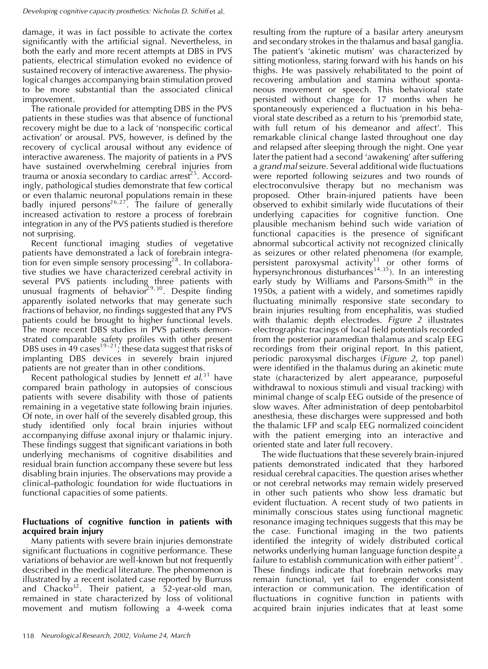damage, it was in fact possible to activate the cortex significantly with the artificial signal. Nevertheless, in both the early and more recent attempts at DBS in PVS patients, electrical stimulation evoked no evidence of sustained recovery of interactive awareness. The physiological changes accompanying brain stimulation proved to be more substantial than the associated clinical improvement.

The rationale provided for attempting DBS in the PVS patients in these studies was that absence of functional recovery might be due to a lack of 'nonspecific cortical activation' or arousal. PVS, however, is defined by the recovery of cyclical arousal without any evidence of interactive awareness. The majority of patients in a PVS have sustained overwhelming cerebral injuries from trauma or anoxia secondary to cardiac arrest<sup>25</sup>. Accordingly, pathological studies demonstrate that few cortical or even thalamic neuronal populations remain in these badly injured persons<sup>26,27</sup>. The failure of generally increased activation to restore a process of forebrain integration in any of the PVS patients studied is therefore not surprising.

Recent functional imaging studies of vegetative patients have demonstrated a lack of forebrain integra- $\,$  tion for even simple sensory processing $^{2 \, 8}.$  In collaborative studies we have characterized cerebral activity in several PVS patients including three patients with unusual fragments of behavior<sup>29,30</sup>. Despite finding apparently isolated networks that may generate such fractions of behavior, no findings suggested that any PVS patients could be brought to higher functional levels. The more recent DBS studies in PVS patients demonstrated comparable safety profiles with other present DBS uses in 49 cases $^{19-21}$ ; these data suggest that risks of implanting DBS devices in severely brain injured patients are not greater than in other conditions.

Recent pathological studies by Jennett *et al*.<sup>31</sup> have compared brain pathology in autopsies of conscious patients with severe disability with those of patients remaining in a vegetative state following brain injuries. Of note, in over half of the severely disabled group, this study identified only focal brain injuries without accompanying diffuse axonal injury or thalamic injury. These findings suggest that significant variations in both underlying mechanisms of cognitive disabilities and residual brain function accompany these severe but less disabling brain injuries. The observations may provide a clinical–pathologic foundation for wide fluctuations in functional capacities of some patients.

### **Fluctuations of cognitive function in patients with acquired brain injury**

Many patients with severe brain injuries demonstrate significant fluctuations in cognitive performance. These variations of behavior are well-known but not frequently described in the medical literature. The phenomenon is illustrated by a recent isolated case reported by Burruss and Chacko<sup>32</sup>. Their patient, a 52-year-old man, remained in state characterized by loss of volitional movement and mutism following a 4-week coma

resulting from the rupture of a basilar artery aneurysm and secondary strokes in the thalamus and basal ganglia. The patient's 'akinetic mutism' was characterized by sitting motionless, staring forward with his hands on his thighs. He was passively rehabilitated to the point of recovering ambulation and stamina without spontaneous movement or speech. This behavioral state persisted without change for 17 months when he spontaneously experienced a fluctuation in his behavioral state described as a return to his 'premorbid state, with full return of his demeanor and affect'. This remarkable clinical change lasted throughout one day and relapsed after sleeping through the night. One year later the patient had a second 'awakening' after suffering a *grand mal* seizure. Several additional wide fluctuations were reported following seizures and two rounds of electroconvulsive therapy but no mechanism was proposed. Other brain-injured patients have been observed to exhibit similarly wide flucutations of their underlying capacities for cognitive function. One plausible mechanism behind such wide variation of functional capacities is the presence of significant abnormal subcortical activity not recognized clinically as seizures or other related phenomena (for example, persistent paroxysmal activity<sup>33</sup> or other forms of hypersynchronous disturbances<sup>34,35</sup>). In an interesting early study by Williams and Parsons-Smith<sup>36</sup> in the 1950s, a patient with a widely, and sometimes rapidly fluctuating minimally responsive state secondary to brain injuries resulting from encephalitis, was studied with thalamic depth electrodes. *Figure 2* illustrates electrographic tracings of local field potentials recorded from the posterior paramedian thalamus and scalp EEG recordings from their original report. In this patient, periodic paroxysmal discharges (*Figure 2*, top panel) were identified in the thalamus during an akinetic mute state (characterized by alert appearance, purposeful withdrawal to noxious stimuli and visual tracking) with minimal change of scalp EEG outside of the presence of slow waves. After administration of deep pentobarbitol anesthesia, these discharges were suppressed and both the thalamic LFP and scalp EEG normalized coincident with the patient emerging into an interactive and oriented state and later full recovery.

The wide fluctuations that these severely brain-injured patients demonstrated indicated that they harbored residual cerebral capacities. The question arises whether or not cerebral networks may remain widely preserved in other such patients who show less dramatic but evident fluctuation. A recent study of two patients in minimally conscious states using functional magnetic resonance imaging techniques suggests that this may be the case. Functional imaging in the two patients identified the integrity of widely distributed cortical networks underlying human language function despite a failure to establish communication with either patient<sup>37</sup>. These findings indicate that forebrain networks may remain functional, yet fail to engender consistent interaction or communication. The identification of fluctuations in cognitive function in patients with acquired brain injuries indicates that at least some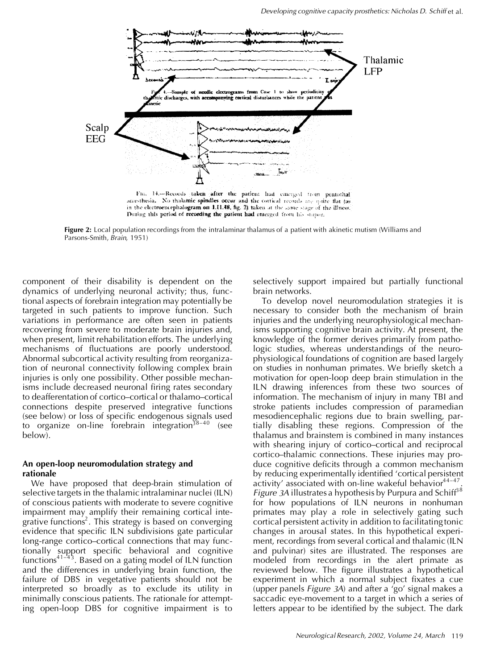

**Figure 2:** Local population recordings from the intralaminar thalamus of a patient with akinetic mutism (Williams and Parsons-Smith, *Brain*, 1951)

component of their disability is dependent on the dynamics of underlying neuronal activity; thus, functional aspects of forebrain integration may potentially be targeted in such patients to improve function. Such variations in performance are often seen in patients recovering from severe to moderate brain injuries and, when present, limit rehabilitation efforts. The underlying mechanisms of fluctuations are poorly understood. Abnormal subcortical activity resulting from reorganization of neuronal connectivity following complex brain injuries is only one possibility. Other possible mechanisms include decreased neuronal firing rates secondary to deafferentation of cortico–cortical or thalamo–cortical connections despite preserved integrative functions (see below) or loss of specific endogenous signals used to organize on-line forebrain integration<sup>38–40</sup> (see below).

#### **An open-loop neuromodulation strategy and rationale**

We have proposed that deep-brain stimulation of selective targets in the thalamic intralaminar nuclei (ILN) of conscious patients with moderate to severe cognitive impairment may amplify their remaining cortical integrative functions<sup>2</sup>. This strategy is based on converging evidence that specific ILN subdivisions gate particular long-range cortico–cortical connections that may functionally support specific behavioral and cognitive functions $41-43$ . Based on a gating model of ILN function and the differences in underlying brain function, the failure of DBS in vegetative patients should not be interpreted so broadly as to exclude its utility in minimally conscious patients. The rationale for attempting open-loop DBS for cognitive impairment is to

selectively support impaired but partially functional brain networks.

To develop novel neuromodulation strategies it is necessary to consider both the mechanism of brain injuries and the underlying neurophysiological mechanisms supporting cognitive brain activity. At present, the knowledge of the former derives primarily from pathologic studies, whereas understandings of the neurophysiological foundations of cognition are based largely on studies in nonhuman primates. We briefly sketch a motivation for open-loop deep brain stimulation in the ILN drawing inferences from these two sources of information. The mechanism of injury in many TBI and stroke patients includes compression of paramedian mesodiencephalic regions due to brain swelling, partially disabling these regions. Compression of the thalamus and brainstem is combined in many instances with shearing injury of cortico–cortical and reciprocal cortico–thalamic connections. These injuries may produce cognitive deficits through a common mechanism by reducing experimentally identified 'cortical persistent activity' associated with on-line wakeful behavior<sup>44-47</sup>. *Figure* 3A illustrates a hypothesis by Purpura and Schiff<sup>38</sup> for how populations of ILN neurons in nonhuman primates may play a role in selectively gating such cortical persistent activity in addition to facilitating tonic changes in arousal states. In this hypothetical experiment, recordings from several cortical and thalamic (ILN and pulvinar) sites are illustrated. The responses are modeled from recordings in the alert primate as reviewed below. The figure illustrates a hypothetical experiment in which a normal subject fixates a cue (upper panels *Figure 3A*) and after a 'go' signal makes a saccadic eye-movement to a target in which a series of letters appear to be identified by the subject. The dark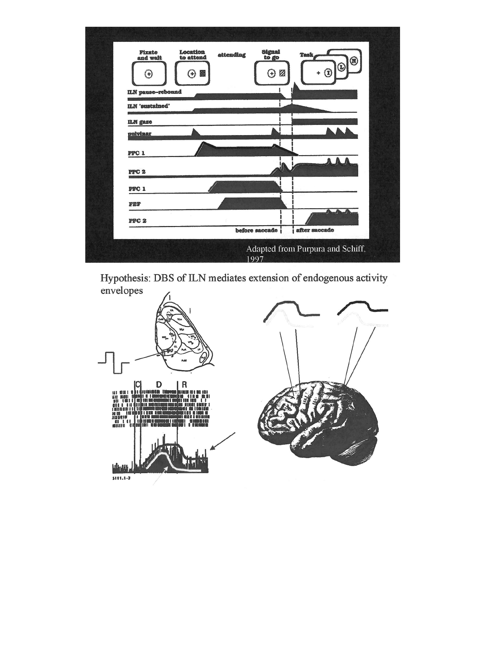

Hypothesis: DBS of ILN mediates extension of endogenous activity envelopes

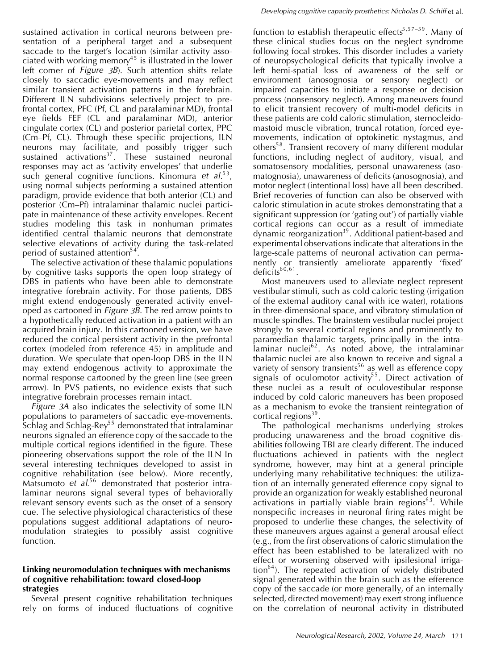sustained activation in cortical neurons between presentation of a peripheral target and a subsequent saccade to the target's location (similar activity associated with working memory<sup>45</sup> is illustrated in the lower left corner of *Figure 3B*). Such attention shifts relate closely to saccadic eye-movements and may reflect similar transient activation patterns in the forebrain. Different ILN subdivisions selectively project to prefrontal cortex, PFC (Pf, CL and paralaminar MD), frontal eye fields FEF (CL and paralaminar MD), anterior cingulate cortex (CL) and posterior parietal cortex, PPC (Cm–Pf, CL). Through these specific projections, ILN neurons may facilitate, and possibly trigger such sustained activations<sup>37</sup>. These sustained neuronal responses may act as 'activity envelopes' that underlie such general cognitive functions. Kinomura *et al.*<sup>53</sup>, using normal subjects performing a sustained attention paradigm, provide evidence that both anterior (CL) and posterior (Cm–Pf) intralaminar thalamic nuclei participate in maintenance of these activity envelopes. Recent studies modeling this task in nonhuman primates identified central thalamic neurons that demonstrate selective elevations of activity during the task-related period of sustained attention<sup>54</sup>.

The selective activation of these thalamic populations by cognitive tasks supports the open loop strategy of DBS in patients who have been able to demonstrate integrative forebrain activity. For those patients, DBS might extend endogenously generated activity enveloped as cartooned in *Figure 3B*. The red arrow points to a hypothetically reduced activation in a patient with an acquired brain injury. In this cartooned version, we have reduced the cortical persistent activity in the prefrontal cortex (modeled from reference 45) in amplitude and duration. We speculate that open-loop DBS in the ILN may extend endogenous activity to approximate the normal response cartooned by the green line (see green arrow). In PVS patients, no evidence exists that such integrative forebrain processes remain intact.

*Figure 3A* also indicates the selectivity of some ILN populations to parameters of saccadic eye-movements. Schlag and Schlag-Rey<sup>55</sup> demonstrated that intralaminar neurons signaled an efference copy of the saccade to the multiple cortical regions identified in the figure. These pioneering observations support the role of the ILN In several interesting techniques developed to assist in cognitive rehabilitation (see below). More recently, Matsumoto *et al*.<sup>56</sup> demonstrated that posterior intralaminar neurons signal several types of behaviorally relevant sensory events such as the onset of a sensory cue. The selective physiological characteristics of these populations suggest additional adaptations of neuromodulation strategies to possibly assist cognitive function.

#### **Linking neuromodulation techniques with mechanisms of cognitive rehabilitation: toward closed-loop strategies**

Several present cognitive rehabilitation techniques rely on forms of induced fluctuations of cognitive

function to establish therapeutic effects<sup>5,57–59</sup>. Many of these clinical studies focus on the neglect syndrome following focal strokes. This disorder includes a variety of neuropsychological deficits that typically involve a left hemi-spatial loss of awareness of the self or environment (anosognosia or sensory neglect) or impaired capacities to initiate a response or decision process (nonsensory neglect). Among maneuvers found to elicit transient recovery of multi-model deficits in these patients are cold caloric stimulation, sternocleidomastoid muscle vibration, truncal rotation, forced eyemovements, indication of optokinetic nystagmus, and others<sup>58</sup>. Transient recovery of many different modular functions, including neglect of auditory, visual, and somatosensory modalities, personal unawareness (asomatognosia), unawareness of deficits (anosognosia), and motor neglect (intentional loss) have all been described. Brief recoveries of function can also be observed with caloric stimulation in acute strokes demonstrating that a significant suppression (or 'gating out') of partially viable cortical regions can occur as a result of immediate dynamic reorganization<sup>39</sup>. Additional patient-based and experimental observations indicate that alterations in the large-scale patterns of neuronal activation can permanently or transiently ameliorate apparently 'fixed'  $deficits<sup>60,61</sup>$ .

Most maneuvers used to alleviate neglect represent vestibular stimuli, such as cold caloric testing (irrigation of the external auditory canal with ice water), rotations in three-dimensional space, and vibratory stimulation of muscle spindles. The brainstem vestibular nuclei project strongly to several cortical regions and prominently to paramedian thalamic targets, principally in the intralaminar nuclei<sup>62</sup>. As noted above, the intralaminar thalamic nuclei are also known to receive and signal a variety of sensory transients<sup>56</sup> as well as efference copy signals of oculomotor activity<sup>55</sup>. Direct activation of these nuclei as a result of oculovestibular response induced by cold caloric maneuvers has been proposed as a mechanism to evoke the transient reintegration of cortical regions<sup>39</sup>.

The pathological mechanisms underlying strokes producing unawareness and the broad cognitive disabilities following TBI are clearly different. The induced fluctuations achieved in patients with the neglect syndrome, however, may hint at a general principle underlying many rehabilitative techniques: the utilization of an internally generated efference copy signal to provide an organization for weakly established neuronal activations in partially viable brain regions<sup>63</sup>. While nonspecific increases in neuronal firing rates might be proposed to underlie these changes, the selectivity of these maneuvers argues against a general arousal effect  $(e.g., from the first observations of a *l* or *l* is at least one.$ effect has been established to be lateralized with no effect or worsening observed with ipsilesional irrigation<sup>64</sup>). The repeated activation of widely distributed signal generated within the brain such as the efference copy of the saccade (or more generally, of an internally selected, directed movement) may exert strong influence on the correlation of neuronal activity in distributed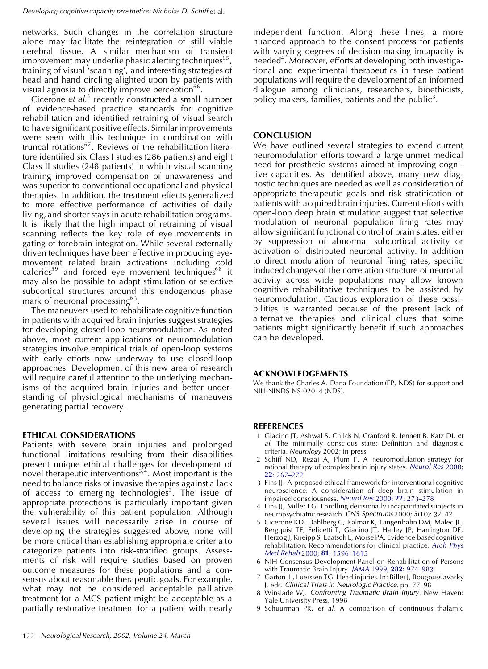networks. Such changes in the correlation structure alone may facilitate the reintegration of still viable cerebral tissue. A similar mechanism of transient improvement may underlie phasic alerting techniques $^{65},\,$ training of visual 'scanning', and interesting strategies of head and hand circling alighted upon by patients with visual agnosia to directly improve perception $^{66}$ .

Cicerone *et al*.<sup>5</sup> recently constructed a small number of evidence-based practice standards for cognitive rehabilitation and identified retraining of visual search to have significant positive effects. Similar improvements were seen with this technique in combination with truncal rotations<sup>67</sup>. Reviews of the rehabilitation literature identified six Class I studies (286 patients) and eight Class II studies (248 patients) in which visual scanning training improved compensation of unawareness and was superior to conventional occupational and physical therapies. In addition, the treatment effects generalized to more effective performance of activities of daily living, and shorter stays in acute rehabilitation programs. It is likely that the high impact of retraining of visual scanning reflects the key role of eye movements in gating of forebrain integration. While several externally driven techniques have been effective in producing eyemovement related brain activations including cold calorics<sup>59</sup> and forced eye movement techniques $^{68}$  it may also be possible to adapt stimulation of selective subcortical structures around this endogenous phase mark of neuronal processing $^{63}$ .

The maneuvers used to rehabilitate cognitive function in patients with acquired brain injuries suggest strategies for developing closed-loop neuromodulation. As noted above, most current applications of neuromodulation strategies involve empirical trials of open-loop systems with early efforts now underway to use closed-loop approaches. Development of this new area of research will require careful attention to the underlying mechanisms of the acquired brain injuries and better understanding of physiological mechanisms of maneuvers generating partial recovery.

#### **ETHICAL CONSIDERATIONS**

Patients with severe brain injuries and prolonged functional limitations resulting from their disabilities present unique ethical challenges for development of novel therapeutic interventions $^{3,4}$ . Most important is the need to balance risks of invasive therapies against a lack of access to emerging technologies<sup>3</sup>. The issue of appropriate protections is particularly important given the vulnerability of this patient population. Although several issues will necessarily arise in course of developing the strategies suggested above, none will be more critical than establishing appropriate criteria to categorize patients into risk-stratified groups. Assessments of risk will require studies based on proven outcome measures for these populations and a consensus about reasonable therapeutic goals. For example, what may not be considered acceptable palliative treatment for a MCS patient might be acceptable as a partially restorative treatment for a patient with nearly

independent function. Along these lines, a more nuanced approach to the consent process for patients with varying degrees of decision-making incapacity is needed<sup>4</sup>. Moreover, efforts at developing both investigational and experimental therapeutics in these patient populations will require the development of an informed dialogue among clinicians, researchers, bioethicists, policy makers, families, patients and the public<sup>3</sup>.

#### **CONCLUSION**

We have outlined several strategies to extend current neuromodulation efforts toward a large unmet medical need for prosthetic systems aimed at improving cognitive capacities. As identified above, many new diagnostic techniques are needed as well as consideration of appropriate therapeutic goals and risk stratification of patients with acquired brain injuries. Current efforts with open-loop deep brain stimulation suggest that selective modulation of neuronal population firing rates may allow significant functional control of brain states: either by suppression of abnormal subcortical activity or activation of distributed neuronal activity. In addition to direct modulation of neuronal firing rates, specific induced changes of the correlation structure of neuronal activity across wide populations may allow known cognitive rehabilitative techniques to be assisted by neuromodulation. Cautious exploration of these possibilities is warranted because of the present lack of alternative therapies and clinical clues that some patients might significantly benefit if such approaches can be developed.

#### **ACKNOWLEDGEMENTS**

We thank the Charles A. Dana Foundation (FP, NDS) for support and NIH-NINDS NS-02014 (NDS).

#### **REFERENCES**

- 1 Giacino JT, Ashwal S, Childs N, Cranford R, Jennett B, Katz DI, *et* al. The minimally conscious state: Definition and diagnostic criteria. *Neurology* 2002; in press
- 2 Schiff ND, Rezai A, Plum F. A neuromodulation strategy for rational therapy of complex brain injury states. *[Neurol](http://www.ingentaconnect.com/content/external-references?article=/0161-6412^282000^2922L.267[aid=1986959]) Res* 2000; **22**: [267–272](http://www.ingentaconnect.com/content/external-references?article=/0161-6412^282000^2922L.267[aid=1986959])
- 3 Fins JJ. A proposed ethical framework for interventional cognitive neuroscience: A consideration of deep brain stimulation in impaired consciousness. *Neurol Res* 2000; **22**: [273–278](http://www.ingentaconnect.com/content/external-references?article=/0161-6412^282000^2922L.273[aid=1986960])
- 4 Fins JJ, Miller FG. Enrolling decisionally incapacitated subjects in neuropsychiatric research. *CNS Spectrums* 2000; **5**(10): 32–42
- 5 Cicerone KD, Dahlberg C, Kalmar K, Langenbahn DM, Malec JF, Bergquist TF, Felicetti T, Giacino JT, Harley JP, Harrington DE, Herzog J, Kneipp S, Laatsch L, Morse PA. Evidence-based cognitive rehabilitation: Recommendations for clinical practice. *[Arch](http://www.ingentaconnect.com/content/external-references?article=/0003-9993^282000^2981L.1596[aid=1986961]) Phys Med Rehab* 2000; **81**: [1596–1615](http://www.ingentaconnect.com/content/external-references?article=/0003-9993^282000^2981L.1596[aid=1986961])
- 6 NIH Consensus Development Panel on Rehabilitation of Persons with Traumatic Brain Injury. *JAMA* 1999, **282**: [974–983](http://www.ingentaconnect.com/content/external-references?article=/0098-7484^281999^29282L.974[aid=954275])
- 7 Garton JL, Luerssen TG. Head injuries. In: Biller J, Bougousslavasky J, eds. *Clinical Trials in Neurologic Practice,* pp. 77–98
- 8 Winslade WJ. *Confronting Traumatic Brain Injury,* New Haven: Yale University Press, 1998
- 9 Schuurman PR, *et al*. A comparison of continuous thalamic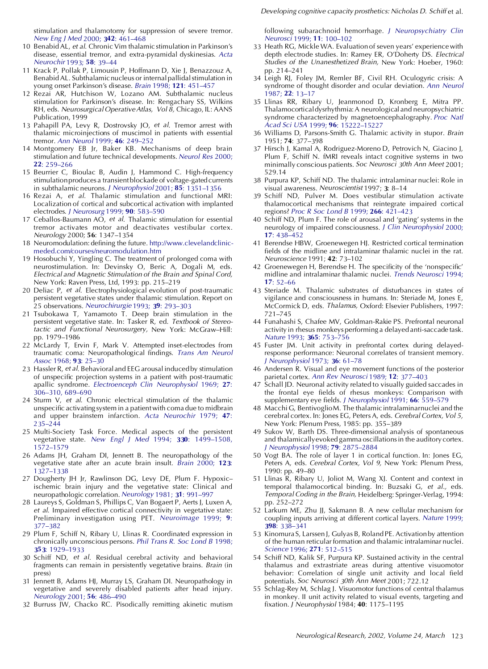- 10 Benabid AL, *et al*. Chronic Vim thalamic stimulation in Parkinson's disease, essential tremor, and extra-pyramidal dyskinesias. *[Acta](http://www.ingentaconnect.com/content/external-references?article=/0001-6268^281993^2958L.39[aid=1986963]) [Neurochir](http://www.ingentaconnect.com/content/external-references?article=/0001-6268^281993^2958L.39[aid=1986963])* 1993; **58**: 39–44
- 11 Krack P, Pollak P, Limousin P, Hoffmann D, Xie J, Benazzouz A, Benabid AL. Subthalamicnucleus or internal pallidalstimulation in young onset Parkinson's disease. *Brain* 1998; **121**: [451–457](http://www.ingentaconnect.com/content/external-references?article=/0006-8950^281998^29121L.451[aid=1986964])
- 12 Rezai AR, Hutchison W, Lozano AM. Subthalamic nucleus stimulation for Parkinson's disease. In: Rengachary SS, Wilkins RH, eds. *Neurosurgical OperativeAtlas, Vol 8,* Chicago, IL: AANS Publication, 1999
- 13 Pahapill PA, Levy R, Dostrovsky JO, *et al*. Tremor arrest with thalamic microinjections of muscimol in patients with essential tremor. *Ann Neurol* 1999; **46**: [249–252](http://www.ingentaconnect.com/content/external-references?article=/0364-5134^281999^2946L.249[aid=1986965])
- 14 Montgomery EB Jr, Baker KB. Mechanisms of deep brain stimulation and future technical developments. *[Neurol](http://www.ingentaconnect.com/content/external-references?article=/0161-6412^282000^2922L.259[aid=1986966]) Res* 2000; **22**: [259–266](http://www.ingentaconnect.com/content/external-references?article=/0161-6412^282000^2922L.259[aid=1986966])
- 15 Beurrier C, Bioulac B, Audin J, Hammond C. High-frequency stimulation produces a transient blockade of voltage-gated currents in subthalamic neurons. *J [Neurophysiol](http://www.ingentaconnect.com/content/external-references?article=/0022-3077^282001^2985L.1351[aid=1986967])* 2001; **85**: 1351–1356
- 16 Rezai A, *et al*. Thalamic stimulation and functional MRI: Localization of cortical and subcortical activation with implanted electrodes. *J [Neurosurg](http://www.ingentaconnect.com/content/external-references?article=/0022-3085^281999^2990L.583[aid=1986968])* 1999; **90**: 583–590
- 17 Ceballos-Baumann AO, *et al*. Thalamic stimulation for essential tremor activates motor and deactivates vestibular cortex. *Neurology* 2000; **56**: 1347–1354
- 18 Neuromodulation: defining the future. [http://www.clevelandclinic](http://www.clevelandclinicmeded.com/courses/neuromodulation.htm)[meded.com/courses/neuromodulation.htm](http://www.clevelandclinicmeded.com/courses/neuromodulation.htm)
- 19 Hosobuchi Y, Yingling C. The treatment of prolonged coma with neurostimulation. In: Devinsky O, Beric A, Dogali M, eds. *Electrical and Magnetic Stimulation of the Brain and Spinal Cord,* New York: Raven Press, Ltd, 1993: pp. 215–219
- 20 Deliac P, *et al*. Electrophysiological evolution of post-traumatic persistent vegetative states under thalamic stimulation. Report on 25 observations. *[Neurochirurgie](http://www.ingentaconnect.com/content/external-references?article=/0028-3770^281993^2939L.293[aid=1986970])* 1993; **39**: 293–303
- 21 Tsubokawa T, Yamamoto T. Deep brain stimulation in the persistent vegetative state. In: Tasker R, ed. *Textbook of Stereotactic and Functional Neurosurgery,* New York: McGraw–Hill: pp. 1979–1986
- 22 McLardy T, Ervin F, Mark V. Attempted inset-electrodes from traumatic coma: Neuropathological findings. *Trans Am [Neurol](http://www.ingentaconnect.com/content/external-references?article=/0065-9479^281968^2993L.25[aid=1986971]) Assoc* 1968; **93**: [25–30](http://www.ingentaconnect.com/content/external-references?article=/0065-9479^281968^2993L.25[aid=1986971])
- 23 Hassler R, *et al*. Behavioraland EEG arousal inducedby stimulation of unspecific projection systems in a patient with post-traumatic apallic syndrome. *[Electroenceph](http://www.ingentaconnect.com/content/external-references?article=/0013-4694^281969^2927L.306[aid=1986972]) Clin Neurophysiol* 1969; **27**: [306–310,](http://www.ingentaconnect.com/content/external-references?article=/0013-4694^281969^2927L.306[aid=1986972]) 689–690
- 24 Sturm V, *et al*. Chronic electrical stimulation of the thalamic unspecific activating system in a patient with coma due to midbrain and upper brainstem infarction. *Acta [Neurochir](http://www.ingentaconnect.com/content/external-references?article=/0001-6268^281979^2947L.235[aid=1986973])* 1979; **47**: [235–244](http://www.ingentaconnect.com/content/external-references?article=/0001-6268^281979^2947L.235[aid=1986973])
- 25 Multi-Society Task Force. Medical aspects of the persistent vegetative state. *New Engl J Med* 1994; **330**: [1499–1508,](http://www.ingentaconnect.com/content/external-references?article=/0028-4793^281994^29330L.1499[aid=696623]) [1572–1579](http://www.ingentaconnect.com/content/external-references?article=/0028-4793^281994^29330L.1499[aid=696623])
- 26 Adams JH, Graham DI, Jennett B. The neuropathology of the vegetative state after an acute brain insult. *Brain* [2000;](http://www.ingentaconnect.com/content/external-references?article=/0006-8950^282000^29123L.1327[aid=1986974]) **123**: [1327–1338](http://www.ingentaconnect.com/content/external-references?article=/0006-8950^282000^29123L.1327[aid=1986974])
- 27 Dougherty JH Jr, Rawlinson DG, Levy DE, Plum F. Hypoxic– ischemic brain injury and the vegetative state: Clinical and neuropathologic correlation. *[Neurology](http://www.ingentaconnect.com/content/external-references?article=/0028-3878^281981^2931L.991[aid=1986975])* 1981; **31**: 991–997
- 28 Laureys S, Goldman S, Phillips C, Van Bogaert P, Aerts J, Luxen A, *et al*. Impaired effective cortical connectivity in vegetative state: Preliminary investigation using PET. *[Neuroimage](http://www.ingentaconnect.com/content/external-references?article=/1053-8119^281999^299L.377[aid=1986976])* 1999; **9**: [377–382](http://www.ingentaconnect.com/content/external-references?article=/1053-8119^281999^299L.377[aid=1986976])
- 29 Plum F, Schiff N, Ribary U, Llinas R. Coordinated expression in chronically unconscious persons. *Phil Trans R. Soc Lond B* [1998;](http://www.ingentaconnect.com/content/external-references?article=/0962-8436^281998^29353L.1929[aid=1986977]) **353**: [1929–1933](http://www.ingentaconnect.com/content/external-references?article=/0962-8436^281998^29353L.1929[aid=1986977])
- 30 Schiff ND, *et al*. Residual cerebral activity and behavioral fragments can remain in persistently vegetative brains. *Brain* (in press)
- 31 Jennett B, Adams HJ, Murray LS, Graham DI. Neuropathology in vegetative and severely disabled patients after head injury. *[Neurology](http://www.ingentaconnect.com/content/external-references?article=/0028-3878^282001^2956L.486[aid=1986978])* 2001; **56**: 486–490
- 32 Burruss JW, Chacko RC. Pisodically remitting akinetic mutism

following subarachnoid hemorrhage. *J [Neuropsychiatry](http://www.ingentaconnect.com/content/external-references?article=/0895-0172^281999^2911L.100[aid=1986979]) Clin [Neurosci](http://www.ingentaconnect.com/content/external-references?article=/0895-0172^281999^2911L.100[aid=1986979])* 1999; **11**: 100–102

- 33 Heath RG, Mickle WA. Evaluationof seven years' experience with depth electrode studies. In: Ramey ER, O'Doherty DS. *Electrical Studies of the Unanesthetized Brain,* New York: Hoeber, 1960: pp. 214–241
- 34 Leigh RJ, Foley JM, Remler BF, Civil RH. Oculogyric crisis: A syndrome of thought disorder and ocular deviation. *Ann [Neurol](http://www.ingentaconnect.com/content/external-references?article=/0364-5134^281987^2922L.13[aid=1986980])* 1987; **22**: [13–17](http://www.ingentaconnect.com/content/external-references?article=/0364-5134^281987^2922L.13[aid=1986980])
- 35 Llinas RR, Ribary U, Jeanmonod D, Kronberg E, Mitra PP. Thalamocorticaldysrhythmia:A neurological and neuropsychiatric syndrome characterized by magnetoencephalography. *[Proc](http://www.ingentaconnect.com/content/external-references?article=/0027-8424^281999^2996L.15222[aid=1986981]) Natl Acad Sci USA* 1999; **96**: [15222–15227](http://www.ingentaconnect.com/content/external-references?article=/0027-8424^281999^2996L.15222[aid=1986981])
- 36 Williams D, Parsons-Smith G. Thalamic activity in stupor. *Brain* 1951; **74**: 377–398
- 37 Hirsch J, Kamal A, Rodriguez-Moreno D, Petrovich N, Giacino J, Plum F, Schiff N. fMRI reveals intact cognitive systems in two minimally conscious patients. *Soc Neurosci 30th Ann Meet* 2001; 529.14
- 38 Purpura KP, Schiff ND. The thalamic intralaminar nuclei: Role in visual awareness. *Neuroscientist* 1997; **3**: 8–14
- Schiff ND, Pulver M. Does vestibular stimulation activate thalamocortical mechanisms that reintegrate impaired cortical regions? *Proc R Soc Lond B* 1999; **266**: [421–423](http://www.ingentaconnect.com/content/external-references?article=/0962-8452^281999^29266L.421[aid=1986984])
- 40 Schiff ND, Plum F. The role of arousal and 'gating' systems in the neurology of impaired consciousness. *J Clin [Neurophysiol](http://www.ingentaconnect.com/content/external-references?article=/0736-0258^282000^2917L.438[aid=1986985])* 2000; **17**: [438–452](http://www.ingentaconnect.com/content/external-references?article=/0736-0258^282000^2917L.438[aid=1986985])
- 41 Berendse HBW, Groenewegen HJ. Restricted cortical termination fields of the midline and intralaminar thalamic nuclei in the rat. *Neuroscience* 1991; **42**: 73–102
- 42 Groenewegen H, Berendse H. The specificity of the 'nonspecific' midline and intralaminar thalamic nuclei. *Trends [Neurosci](http://www.ingentaconnect.com/content/external-references?article=/0166-2236^281994^2917L.52[aid=1986987])* 1994; **17**: [52–66](http://www.ingentaconnect.com/content/external-references?article=/0166-2236^281994^2917L.52[aid=1986987])
- 43 Steriade M. Thalamic substrates of disturbances in states of vigilance and consciousness in humans. In: Steriade M, Jones E, McCormick D, eds. *Thalamus,* Oxford: Elsevier Publishers, 1997: 721–745
- 44 Funahashi S, Chafee MV, Goldman-Rakie PS. Prefrontal neuronal activity in rhesus monkeys performing a delayed anti-saccade task. *Nature* 1993; **365**: [753–756](http://www.ingentaconnect.com/content/external-references?article=/0028-0836^281993^29365L.753[aid=1986988])
- 45 Fuster JM. Unit activity in prefrontal cortex during delayedresponse performance: Neuronal correlates of transient memory. *J [Neurophysiol](http://www.ingentaconnect.com/content/external-references?article=/0022-3077^281973^2936L.61[aid=1986989])* 1973; **36**: 61–78
- 46 Andersen R. Visual and eye movement functions of the posterior parietal cortex. *Ann Rev [Neurosci](http://www.ingentaconnect.com/content/external-references?article=/0147-006X^281989^2912L.377[aid=1986990])* 1989; **12**: 377–403
- 47 Schall JD. Neuronal activity related to visually guided saccades in the frontal eye fields of rhesus monkeys: Comparison with supplementary eye elds. *J [Neurophysiol](http://www.ingentaconnect.com/content/external-references?article=/0022-3077^281991^2966L.559[aid=1986991])* 1991; **66**: 559–579
- 48 Macchi G, BentivoglioM. The thalamic intralaminarnuclei and the cerebral cortex. In: Jones EG, Peters A, eds. *Cerebral Cortex, Vol 5,* New York: Plenum Press, 1985: pp. 355–389
- 49 Sukov W, Barth DS. Three-dimensional analysis of spontaneous and thalamicallyevoked gamma oscillationsin the auditory cortex. *J [Neurophysiol](http://www.ingentaconnect.com/content/external-references?article=/0022-3077^281998^2979L.2875[aid=1986992])* 1998; **79**: 2875–2884
- 50 Vogt BA. The role of layer 1 in cortical function. In: Jones EG, Peters A, eds. *Cerebral Cortex, Vol 9,* New York: Plenum Press, 1990: pp. 49–80
- 51 Llinas R, Ribary U, Joliot M, Wang XJ. Content and context in temporal thalamocortical binding. In: Buzsaki G, *et al.,* eds. *Temporal Coding in the Brain,* Heidelberg: Springer-Verlag, 1994: pp. 252–272
- 52 Larkum ME, Zhu JJ, Sakmann B. A new cellular mechanism for coupling inputs arriving at different cortical layers. *[Nature](http://www.ingentaconnect.com/content/external-references?article=/0028-0836^281999^29398L.338[aid=1986993])* 1999; **398**: [338–341](http://www.ingentaconnect.com/content/external-references?article=/0028-0836^281999^29398L.338[aid=1986993])
- 53 Kinomura S, Larssen J, Gulyas B, Roland PE. Activationby attention of the human reticular formation and thalamic intralaminar nuclei. *Science* 1996; **271**: [512–515](http://www.ingentaconnect.com/content/external-references?article=/0036-8075^281996^29271L.512[aid=1986994])
- 54 Schiff ND, Kalik SF, Purpura KP. Sustained activity in the central thalamus and extrastriate areas during attentive visuomotor behavior: Correlation of single unit activity and local field potentials. *Soc Neurosci 30th Ann Meet* 2001; 722.12
- 55 Schlag-Rey M, Schlag J. Visuomotor functions of central thalamus in monkey. II unit activity related to visual events, targeting and xation. *J Neurophysiol* 1984; **40**: 1175–1195